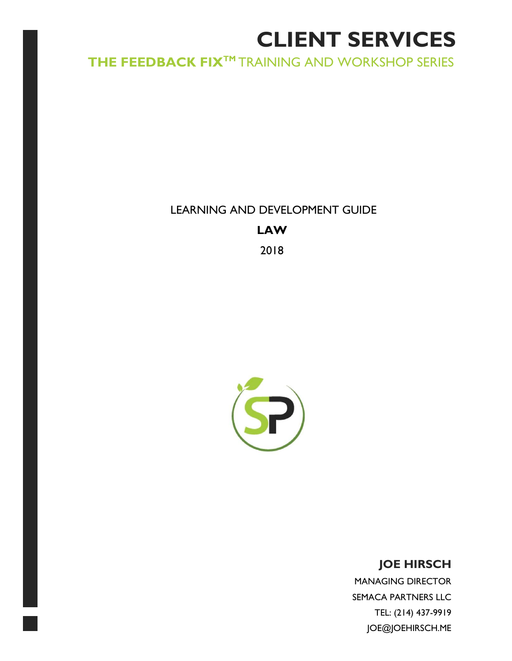# **CLIENT SERVICES**

# **THE FEEDBACK FIXTM** TRAINING AND WORKSHOP SERIES

LEARNING AND DEVELOPMENT GUIDE **LAW** 2018



# **JOE HIRSCH**

MANAGING DIRECTOR SEMACA PARTNERS LLC TEL: (214) 437-9919 JOE@JOEHIRSCH.ME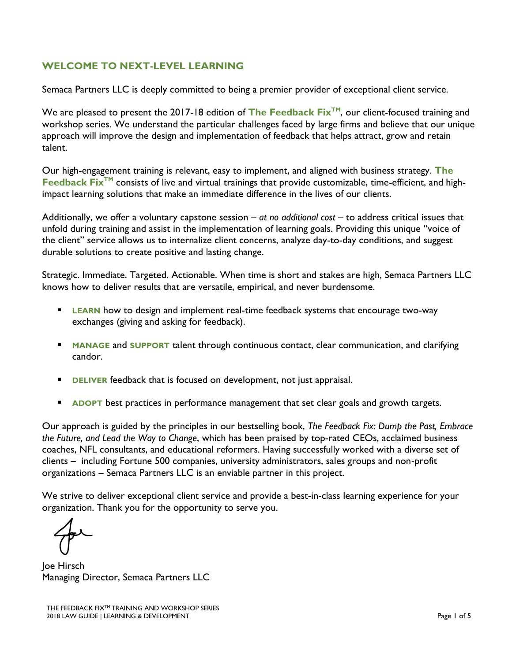#### **WELCOME TO NEXT-LEVEL LEARNING**

Semaca Partners LLC is deeply committed to being a premier provider of exceptional client service.

We are pleased to present the 2017-18 edition of The Feedback Fix<sup>™</sup>, our client-focused training and workshop series. We understand the particular challenges faced by large firms and believe that our unique approach will improve the design and implementation of feedback that helps attract, grow and retain talent.

Our high-engagement training is relevant, easy to implement, and aligned with business strategy. **The Feedback Fix<sup>™</sup> consists of live and virtual trainings that provide customizable, time-efficient, and high**impact learning solutions that make an immediate difference in the lives of our clients.

Additionally, we offer a voluntary capstone session – *at no additional cost* – to address critical issues that unfold during training and assist in the implementation of learning goals. Providing this unique "voice of the client" service allows us to internalize client concerns, analyze day-to-day conditions, and suggest durable solutions to create positive and lasting change.

Strategic. Immediate. Targeted. Actionable. When time is short and stakes are high, Semaca Partners LLC knows how to deliver results that are versatile, empirical, and never burdensome.

- **ELEARN** how to design and implement real-time feedback systems that encourage two-way exchanges (giving and asking for feedback).
- **EXTERGT MANAGE** and **SUPPORT** talent through continuous contact, clear communication, and clarifying candor.
- **EXTER** feedback that is focused on development, not just appraisal.
- **EXPOPT** best practices in performance management that set clear goals and growth targets.

Our approach is guided by the principles in our bestselling book, *The Feedback Fix: Dump the Past, Embrace the Future, and Lead the Way to Change*, which has been praised by top-rated CEOs, acclaimed business coaches, NFL consultants, and educational reformers. Having successfully worked with a diverse set of clients – including Fortune 500 companies, university administrators, sales groups and non-profit organizations – Semaca Partners LLC is an enviable partner in this project.

We strive to deliver exceptional client service and provide a best-in-class learning experience for your organization. Thank you for the opportunity to serve you.

Joe Hirsch Managing Director, Semaca Partners LLC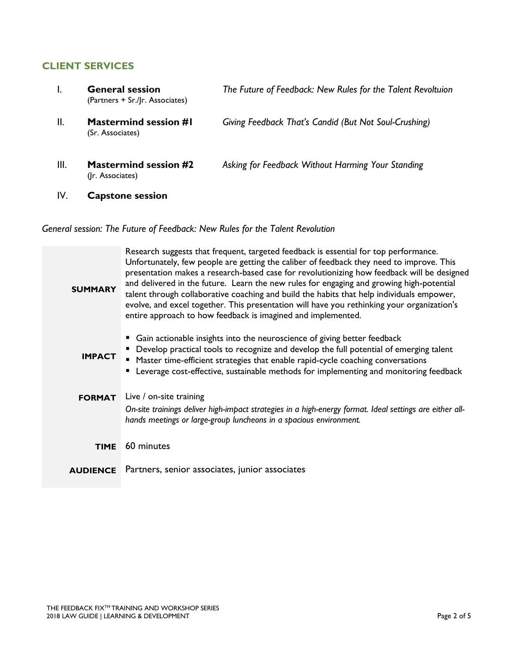#### **CLIENT SERVICES**

|      | <b>General session</b><br>(Partners + Sr./Jr. Associates) | The Future of Feedback: New Rules for the Talent Revoltuion |
|------|-----------------------------------------------------------|-------------------------------------------------------------|
| II.  | <b>Mastermind session #I</b><br>(Sr. Associates)          | Giving Feedback That's Candid (But Not Soul-Crushing)       |
| III. | <b>Mastermind session #2</b><br>(Ir. Associates)          | Asking for Feedback Without Harming Your Standing           |
| IV.  | <b>Capstone session</b>                                   |                                                             |

## *General session: The Future of Feedback: New Rules for the Talent Revolution*

| <b>SUMMARY</b>  | Research suggests that frequent, targeted feedback is essential for top performance.<br>Unfortunately, few people are getting the caliber of feedback they need to improve. This<br>presentation makes a research-based case for revolutionizing how feedback will be designed<br>and delivered in the future. Learn the new rules for engaging and growing high-potential<br>talent through collaborative coaching and build the habits that help individuals empower,<br>evolve, and excel together. This presentation will have you rethinking your organization's<br>entire approach to how feedback is imagined and implemented. |
|-----------------|---------------------------------------------------------------------------------------------------------------------------------------------------------------------------------------------------------------------------------------------------------------------------------------------------------------------------------------------------------------------------------------------------------------------------------------------------------------------------------------------------------------------------------------------------------------------------------------------------------------------------------------|
| <b>IMPACT</b>   | • Gain actionable insights into the neuroscience of giving better feedback<br>• Develop practical tools to recognize and develop the full potential of emerging talent<br>■ Master time-efficient strategies that enable rapid-cycle coaching conversations<br>" Leverage cost-effective, sustainable methods for implementing and monitoring feedback                                                                                                                                                                                                                                                                                |
| <b>FORMAT</b>   | Live / on-site training                                                                                                                                                                                                                                                                                                                                                                                                                                                                                                                                                                                                               |
|                 | On-site trainings deliver high-impact strategies in a high-energy format. Ideal settings are either all-<br>hands meetings or large-group luncheons in a spacious environment.                                                                                                                                                                                                                                                                                                                                                                                                                                                        |
| <b>TIME</b>     | 60 minutes                                                                                                                                                                                                                                                                                                                                                                                                                                                                                                                                                                                                                            |
| <b>AUDIENCE</b> | Partners, senior associates, junior associates                                                                                                                                                                                                                                                                                                                                                                                                                                                                                                                                                                                        |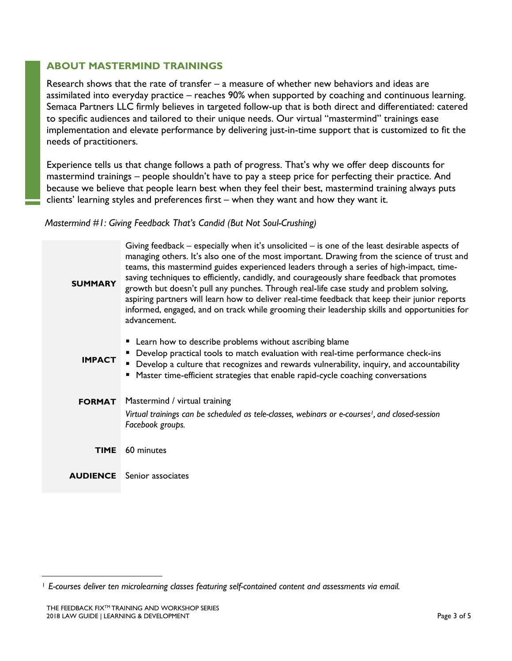#### **ABOUT MASTERMIND TRAININGS**

Research shows that the rate of transfer – a measure of whether new behaviors and ideas are assimilated into everyday practice – reaches 90% when supported by coaching and continuous learning. Semaca Partners LLC firmly believes in targeted follow-up that is both direct and differentiated: catered to specific audiences and tailored to their unique needs. Our virtual "mastermind" trainings ease implementation and elevate performance by delivering just-in-time support that is customized to fit the needs of practitioners.

Experience tells us that change follows a path of progress. That's why we offer deep discounts for mastermind trainings – people shouldn't have to pay a steep price for perfecting their practice. And because we believe that people learn best when they feel their best, mastermind training always puts clients' learning styles and preferences first – when they want and how they want it.

#### *Mastermind #1: Giving Feedback That's Candid (But Not Soul-Crushing)*

| <b>SUMMARY</b> | Giving feedback $-$ especially when it's unsolicited $-$ is one of the least desirable aspects of<br>managing others. It's also one of the most important. Drawing from the science of trust and<br>teams, this mastermind guides experienced leaders through a series of high-impact, time-<br>saving techniques to efficiently, candidly, and courageously share feedback that promotes<br>growth but doesn't pull any punches. Through real-life case study and problem solving,<br>aspiring partners will learn how to deliver real-time feedback that keep their junior reports<br>informed, engaged, and on track while grooming their leadership skills and opportunities for<br>advancement. |
|----------------|------------------------------------------------------------------------------------------------------------------------------------------------------------------------------------------------------------------------------------------------------------------------------------------------------------------------------------------------------------------------------------------------------------------------------------------------------------------------------------------------------------------------------------------------------------------------------------------------------------------------------------------------------------------------------------------------------|
| <b>IMPACT</b>  | • Learn how to describe problems without ascribing blame<br>Develop practical tools to match evaluation with real-time performance check-ins<br>Develop a culture that recognizes and rewards vulnerability, inquiry, and accountability<br>■ Master time-efficient strategies that enable rapid-cycle coaching conversations                                                                                                                                                                                                                                                                                                                                                                        |
| <b>FORMAT</b>  | Mastermind / virtual training                                                                                                                                                                                                                                                                                                                                                                                                                                                                                                                                                                                                                                                                        |
|                | Virtual trainings can be scheduled as tele-classes, webinars or e-courses <sup>1</sup> , and closed-session<br>Facebook groups.                                                                                                                                                                                                                                                                                                                                                                                                                                                                                                                                                                      |
| <b>TIME</b>    | 60 minutes                                                                                                                                                                                                                                                                                                                                                                                                                                                                                                                                                                                                                                                                                           |
|                | <b>AUDIENCE</b> Senior associates                                                                                                                                                                                                                                                                                                                                                                                                                                                                                                                                                                                                                                                                    |
|                |                                                                                                                                                                                                                                                                                                                                                                                                                                                                                                                                                                                                                                                                                                      |

 $\overline{a}$ 

<sup>1</sup> *E-courses deliver ten microlearning classes featuring self-contained content and assessments via email.*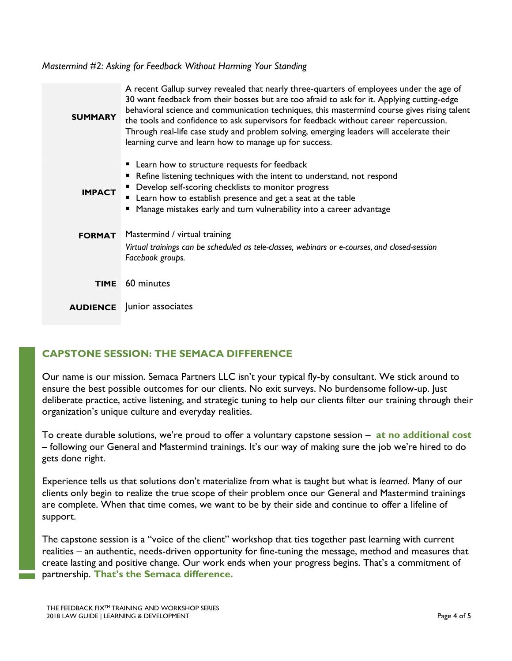*Mastermind #2: Asking for Feedback Without Harming Your Standing*

| <b>SUMMARY</b> | A recent Gallup survey revealed that nearly three-quarters of employees under the age of<br>30 want feedback from their bosses but are too afraid to ask for it. Applying cutting-edge<br>behavioral science and communication techniques, this mastermind course gives rising talent<br>the tools and confidence to ask supervisors for feedback without career repercussion.<br>Through real-life case study and problem solving, emerging leaders will accelerate their<br>learning curve and learn how to manage up for success. |
|----------------|--------------------------------------------------------------------------------------------------------------------------------------------------------------------------------------------------------------------------------------------------------------------------------------------------------------------------------------------------------------------------------------------------------------------------------------------------------------------------------------------------------------------------------------|
| <b>IMPACT</b>  | • Learn how to structure requests for feedback<br>Refine listening techniques with the intent to understand, not respond<br>• Develop self-scoring checklists to monitor progress<br>" Learn how to establish presence and get a seat at the table<br>" Manage mistakes early and turn vulnerability into a career advantage                                                                                                                                                                                                         |
| <b>FORMAT</b>  | Mastermind / virtual training<br>Virtual trainings can be scheduled as tele-classes, webinars or e-courses, and closed-session<br>Facebook groups.                                                                                                                                                                                                                                                                                                                                                                                   |
| <b>TIME</b>    | 60 minutes                                                                                                                                                                                                                                                                                                                                                                                                                                                                                                                           |
|                | <b>AUDIENCE</b> Junior associates                                                                                                                                                                                                                                                                                                                                                                                                                                                                                                    |

## **CAPSTONE SESSION: THE SEMACA DIFFERENCE**

Our name is our mission. Semaca Partners LLC isn't your typical fly-by consultant. We stick around to ensure the best possible outcomes for our clients. No exit surveys. No burdensome follow-up. Just deliberate practice, active listening, and strategic tuning to help our clients filter our training through their organization's unique culture and everyday realities.

To create durable solutions, we're proud to offer a voluntary capstone session – **at no additional cost**  – following our General and Mastermind trainings. It's our way of making sure the job we're hired to do gets done right.

Experience tells us that solutions don't materialize from what is taught but what is *learned*. Many of our clients only begin to realize the true scope of their problem once our General and Mastermind trainings are complete. When that time comes, we want to be by their side and continue to offer a lifeline of support.

The capstone session is a "voice of the client" workshop that ties together past learning with current realities – an authentic, needs-driven opportunity for fine-tuning the message, method and measures that create lasting and positive change. Our work ends when your progress begins. That's a commitment of partnership. **That's the Semaca difference.**